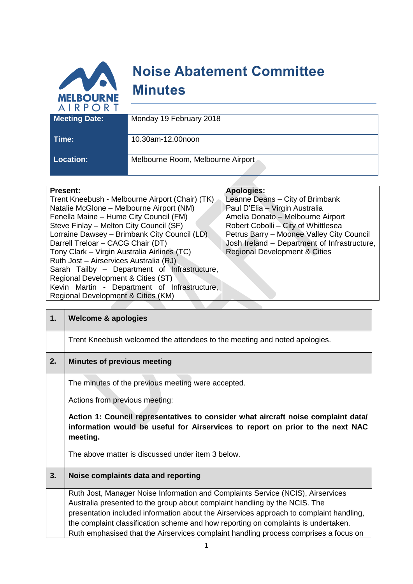

| Location |  |  |
|----------|--|--|

**Location:** Melbourne Room, Melbourne Airport

| <b>Present:</b>                                 | <b>Apologies:</b>                            |
|-------------------------------------------------|----------------------------------------------|
| Trent Kneebush - Melbourne Airport (Chair) (TK) | Leanne Deans - City of Brimbank              |
| Natalie McGlone - Melbourne Airport (NM)        | Paul D'Elia - Virgin Australia               |
| Fenella Maine - Hume City Council (FM)          | Amelia Donato - Melbourne Airport            |
| Steve Finlay - Melton City Council (SF)         | Robert Cobolli - City of Whittlesea          |
| Lorraine Dawsey - Brimbank City Council (LD)    | Petrus Barry - Moonee Valley City Council    |
| Darrell Treloar - CACG Chair (DT)               | Josh Ireland - Department of Infrastructure, |
| Tony Clark - Virgin Australia Airlines (TC)     | <b>Regional Development &amp; Cities</b>     |
| Ruth Jost - Airservices Australia (RJ)          |                                              |
| Sarah Tailby - Department of Infrastructure,    |                                              |
| Regional Development & Cities (ST)              |                                              |
| Kevin Martin - Department of Infrastructure,    |                                              |
| Regional Development & Cities (KM)              |                                              |

| 1. | <b>Welcome &amp; apologies</b>                                                                                                                                                  |  |  |  |
|----|---------------------------------------------------------------------------------------------------------------------------------------------------------------------------------|--|--|--|
|    | Trent Kneebush welcomed the attendees to the meeting and noted apologies.                                                                                                       |  |  |  |
| 2. | <b>Minutes of previous meeting</b>                                                                                                                                              |  |  |  |
|    | The minutes of the previous meeting were accepted.                                                                                                                              |  |  |  |
|    | Actions from previous meeting:                                                                                                                                                  |  |  |  |
|    | Action 1: Council representatives to consider what aircraft noise complaint data/<br>information would be useful for Airservices to report on prior to the next NAC<br>meeting. |  |  |  |
|    | The above matter is discussed under item 3 below.                                                                                                                               |  |  |  |
| 3. | Noise complaints data and reporting                                                                                                                                             |  |  |  |
|    | Ruth Jost, Manager Noise Information and Complaints Service (NCIS), Airservices                                                                                                 |  |  |  |
|    | Australia presented to the group about complaint handling by the NCIS. The                                                                                                      |  |  |  |
|    | presentation included information about the Airservices approach to complaint handling,                                                                                         |  |  |  |
|    | the complaint classification scheme and how reporting on complaints is undertaken.                                                                                              |  |  |  |
|    | Ruth emphasised that the Airservices complaint handling process comprises a focus on                                                                                            |  |  |  |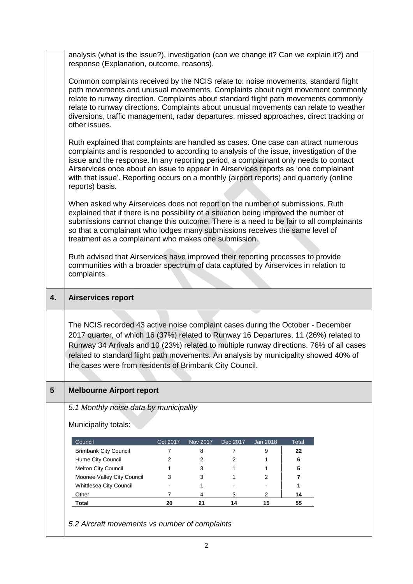|    | analysis (what is the issue?), investigation (can we change it? Can we explain it?) and<br>response (Explanation, outcome, reasons).                                                                                                                                                                                                                                                                                                                              |                                                                                                                                                                                                                                                                                                                                                                                                                                                          |          |          |          |       |  |
|----|-------------------------------------------------------------------------------------------------------------------------------------------------------------------------------------------------------------------------------------------------------------------------------------------------------------------------------------------------------------------------------------------------------------------------------------------------------------------|----------------------------------------------------------------------------------------------------------------------------------------------------------------------------------------------------------------------------------------------------------------------------------------------------------------------------------------------------------------------------------------------------------------------------------------------------------|----------|----------|----------|-------|--|
|    | Common complaints received by the NCIS relate to: noise movements, standard flight<br>path movements and unusual movements. Complaints about night movement commonly<br>relate to runway direction. Complaints about standard flight path movements commonly<br>relate to runway directions. Complaints about unusual movements can relate to weather<br>diversions, traffic management, radar departures, missed approaches, direct tracking or<br>other issues. |                                                                                                                                                                                                                                                                                                                                                                                                                                                          |          |          |          |       |  |
|    | reports) basis.                                                                                                                                                                                                                                                                                                                                                                                                                                                   | Ruth explained that complaints are handled as cases. One case can attract numerous<br>complaints and is responded to according to analysis of the issue, investigation of the<br>issue and the response. In any reporting period, a complainant only needs to contact<br>Airservices once about an issue to appear in Airservices reports as 'one complainant<br>with that issue'. Reporting occurs on a monthly (airport reports) and quarterly (online |          |          |          |       |  |
|    | When asked why Airservices does not report on the number of submissions. Ruth<br>explained that if there is no possibility of a situation being improved the number of<br>submissions cannot change this outcome. There is a need to be fair to all complainants<br>so that a complainant who lodges many submissions receives the same level of<br>treatment as a complainant who makes one submission.                                                          |                                                                                                                                                                                                                                                                                                                                                                                                                                                          |          |          |          |       |  |
|    | Ruth advised that Airservices have improved their reporting processes to provide<br>communities with a broader spectrum of data captured by Airservices in relation to<br>complaints.                                                                                                                                                                                                                                                                             |                                                                                                                                                                                                                                                                                                                                                                                                                                                          |          |          |          |       |  |
|    |                                                                                                                                                                                                                                                                                                                                                                                                                                                                   |                                                                                                                                                                                                                                                                                                                                                                                                                                                          |          |          |          |       |  |
| 4. | <b>Airservices report</b>                                                                                                                                                                                                                                                                                                                                                                                                                                         |                                                                                                                                                                                                                                                                                                                                                                                                                                                          |          |          |          |       |  |
|    | The NCIS recorded 43 active noise complaint cases during the October - December<br>2017 quarter, of which 16 (37%) related to Runway 16 Departures, 11 (26%) related to<br>Runway 34 Arrivals and 10 (23%) related to multiple runway directions. 76% of all cases<br>related to standard flight path movements. An analysis by municipality showed 40% of<br>the cases were from residents of Brimbank City Council.                                             |                                                                                                                                                                                                                                                                                                                                                                                                                                                          |          |          |          |       |  |
| 5  | <b>Melbourne Airport report</b>                                                                                                                                                                                                                                                                                                                                                                                                                                   |                                                                                                                                                                                                                                                                                                                                                                                                                                                          |          |          |          |       |  |
|    | 5.1 Monthly noise data by municipality                                                                                                                                                                                                                                                                                                                                                                                                                            |                                                                                                                                                                                                                                                                                                                                                                                                                                                          |          |          |          |       |  |
|    | Municipality totals:                                                                                                                                                                                                                                                                                                                                                                                                                                              |                                                                                                                                                                                                                                                                                                                                                                                                                                                          |          |          |          |       |  |
|    | Council                                                                                                                                                                                                                                                                                                                                                                                                                                                           | Oct 2017                                                                                                                                                                                                                                                                                                                                                                                                                                                 | Nov 2017 | Dec 2017 | Jan 2018 | Total |  |
|    | <b>Brimbank City Council</b>                                                                                                                                                                                                                                                                                                                                                                                                                                      | 7                                                                                                                                                                                                                                                                                                                                                                                                                                                        | 8        | 7        | 9        | 22    |  |
|    | Hume City Council                                                                                                                                                                                                                                                                                                                                                                                                                                                 | 2                                                                                                                                                                                                                                                                                                                                                                                                                                                        | 2        | 2        | 1        | 6     |  |
|    | Melton City Council                                                                                                                                                                                                                                                                                                                                                                                                                                               | 1                                                                                                                                                                                                                                                                                                                                                                                                                                                        | 3        | 1        | 1        | 5     |  |
|    | Moonee Valley City Council                                                                                                                                                                                                                                                                                                                                                                                                                                        | 3                                                                                                                                                                                                                                                                                                                                                                                                                                                        | 3        | 1        | 2        | 7     |  |
|    | Whittlesea City Council                                                                                                                                                                                                                                                                                                                                                                                                                                           |                                                                                                                                                                                                                                                                                                                                                                                                                                                          | 1        |          |          | 1     |  |
|    | Other                                                                                                                                                                                                                                                                                                                                                                                                                                                             | 7                                                                                                                                                                                                                                                                                                                                                                                                                                                        | 4        | 3        | 2        | 14    |  |
|    | Total                                                                                                                                                                                                                                                                                                                                                                                                                                                             | 20                                                                                                                                                                                                                                                                                                                                                                                                                                                       | 21       | 14       | 15       | 55    |  |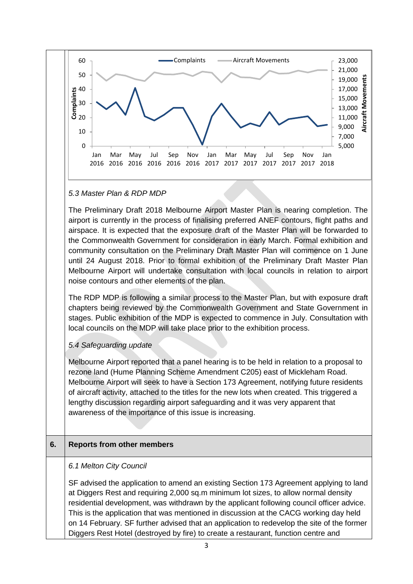

### *5.3 Master Plan & RDP MDP*

The Preliminary Draft 2018 Melbourne Airport Master Plan is nearing completion. The airport is currently in the process of finalising preferred ANEF contours, flight paths and airspace. It is expected that the exposure draft of the Master Plan will be forwarded to the Commonwealth Government for consideration in early March. Formal exhibition and community consultation on the Preliminary Draft Master Plan will commence on 1 June until 24 August 2018. Prior to formal exhibition of the Preliminary Draft Master Plan Melbourne Airport will undertake consultation with local councils in relation to airport noise contours and other elements of the plan.

The RDP MDP is following a similar process to the Master Plan, but with exposure draft chapters being reviewed by the Commonwealth Government and State Government in stages. Public exhibition of the MDP is expected to commence in July. Consultation with local councils on the MDP will take place prior to the exhibition process.

## *5.4 Safeguarding update*

Melbourne Airport reported that a panel hearing is to be held in relation to a proposal to rezone land (Hume Planning Scheme Amendment C205) east of Mickleham Road. Melbourne Airport will seek to have a Section 173 Agreement, notifying future residents of aircraft activity, attached to the titles for the new lots when created. This triggered a lengthy discussion regarding airport safeguarding and it was very apparent that awareness of the importance of this issue is increasing.

# **6. Reports from other members**

## *6.1 Melton City Council*

SF advised the application to amend an existing Section 173 Agreement applying to land at Diggers Rest and requiring 2,000 sq.m minimum lot sizes, to allow normal density residential development, was withdrawn by the applicant following council officer advice. This is the application that was mentioned in discussion at the CACG working day held on 14 February. SF further advised that an application to redevelop the site of the former Diggers Rest Hotel (destroyed by fire) to create a restaurant, function centre and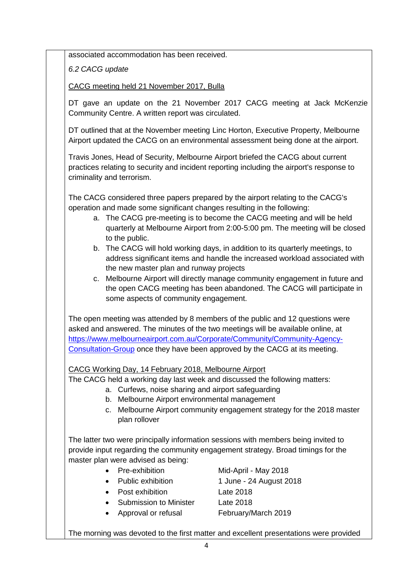associated accommodation has been received.

*6.2 CACG update*

CACG meeting held 21 November 2017, Bulla

DT gave an update on the 21 November 2017 CACG meeting at Jack McKenzie Community Centre. A written report was circulated.

DT outlined that at the November meeting Linc Horton, Executive Property, Melbourne Airport updated the CACG on an environmental assessment being done at the airport.

Travis Jones, Head of Security, Melbourne Airport briefed the CACG about current practices relating to security and incident reporting including the airport's response to criminality and terrorism.

The CACG considered three papers prepared by the airport relating to the CACG's operation and made some significant changes resulting in the following:

- a. The CACG pre-meeting is to become the CACG meeting and will be held quarterly at Melbourne Airport from 2:00-5:00 pm. The meeting will be closed to the public.
- b. The CACG will hold working days, in addition to its quarterly meetings, to address significant items and handle the increased workload associated with the new master plan and runway projects
- c. Melbourne Airport will directly manage community engagement in future and the open CACG meeting has been abandoned. The CACG will participate in some aspects of community engagement.

The open meeting was attended by 8 members of the public and 12 questions were asked and answered. The minutes of the two meetings will be available online, at [https://www.melbourneairport.com.au/Corporate/Community/Community-Agency-](https://www.melbourneairport.com.au/Corporate/Community/Community-Agency-Consultation-Group)[Consultation-Group](https://www.melbourneairport.com.au/Corporate/Community/Community-Agency-Consultation-Group) once they have been approved by the CACG at its meeting.

# CACG Working Day, 14 February 2018, Melbourne Airport

The CACG held a working day last week and discussed the following matters:

- a. Curfews, noise sharing and airport safeguarding
- b. Melbourne Airport environmental management
- c. Melbourne Airport community engagement strategy for the 2018 master plan rollover

The latter two were principally information sessions with members being invited to provide input regarding the community engagement strategy. Broad timings for the master plan were advised as being:

- 
- 
- Post exhibition Late 2018
- Submission to Minister Late 2018
- Approval or refusal February/March 2019

• Pre-exhibition Mid-April - May 2018

- Public exhibition 1 June 24 August 2018
	-
	- -

The morning was devoted to the first matter and excellent presentations were provided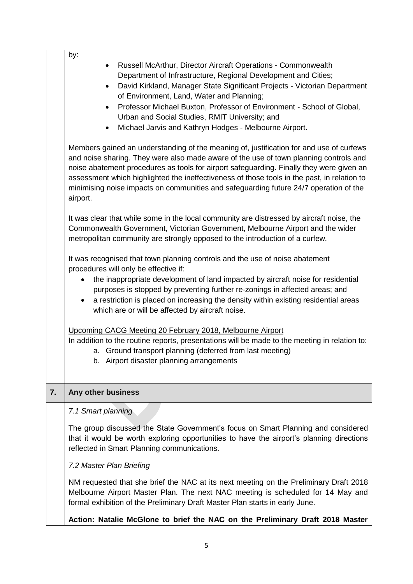|    | by:<br>Russell McArthur, Director Aircraft Operations - Commonwealth<br>$\bullet$<br>Department of Infrastructure, Regional Development and Cities;<br>David Kirkland, Manager State Significant Projects - Victorian Department<br>$\bullet$                                                                                                                                                                                                                                    |  |  |  |
|----|----------------------------------------------------------------------------------------------------------------------------------------------------------------------------------------------------------------------------------------------------------------------------------------------------------------------------------------------------------------------------------------------------------------------------------------------------------------------------------|--|--|--|
|    | of Environment, Land, Water and Planning;<br>Professor Michael Buxton, Professor of Environment - School of Global,<br>$\bullet$<br>Urban and Social Studies, RMIT University; and<br>Michael Jarvis and Kathryn Hodges - Melbourne Airport.<br>$\bullet$                                                                                                                                                                                                                        |  |  |  |
|    | Members gained an understanding of the meaning of, justification for and use of curfews<br>and noise sharing. They were also made aware of the use of town planning controls and<br>noise abatement procedures as tools for airport safeguarding. Finally they were given an<br>assessment which highlighted the ineffectiveness of those tools in the past, in relation to<br>minimising noise impacts on communities and safeguarding future 24/7 operation of the<br>airport. |  |  |  |
|    | It was clear that while some in the local community are distressed by aircraft noise, the<br>Commonwealth Government, Victorian Government, Melbourne Airport and the wider<br>metropolitan community are strongly opposed to the introduction of a curfew.                                                                                                                                                                                                                      |  |  |  |
|    | It was recognised that town planning controls and the use of noise abatement<br>procedures will only be effective if:                                                                                                                                                                                                                                                                                                                                                            |  |  |  |
|    | the inappropriate development of land impacted by aircraft noise for residential<br>$\bullet$<br>purposes is stopped by preventing further re-zonings in affected areas; and<br>a restriction is placed on increasing the density within existing residential areas<br>$\bullet$<br>which are or will be affected by aircraft noise.                                                                                                                                             |  |  |  |
|    | Upcoming CACG Meeting 20 February 2018, Melbourne Airport<br>In addition to the routine reports, presentations will be made to the meeting in relation to:<br>a. Ground transport planning (deferred from last meeting)<br>b. Airport disaster planning arrangements                                                                                                                                                                                                             |  |  |  |
| 7. | Any other business                                                                                                                                                                                                                                                                                                                                                                                                                                                               |  |  |  |
|    | 7.1 Smart planning                                                                                                                                                                                                                                                                                                                                                                                                                                                               |  |  |  |
|    | The group discussed the State Government's focus on Smart Planning and considered<br>that it would be worth exploring opportunities to have the airport's planning directions<br>reflected in Smart Planning communications.                                                                                                                                                                                                                                                     |  |  |  |
|    | 7.2 Master Plan Briefing                                                                                                                                                                                                                                                                                                                                                                                                                                                         |  |  |  |
|    | NM requested that she brief the NAC at its next meeting on the Preliminary Draft 2018<br>Melbourne Airport Master Plan. The next NAC meeting is scheduled for 14 May and<br>formal exhibition of the Preliminary Draft Master Plan starts in early June.                                                                                                                                                                                                                         |  |  |  |
|    | Action: Natalie McGlone to brief the NAC on the Preliminary Draft 2018 Master                                                                                                                                                                                                                                                                                                                                                                                                    |  |  |  |